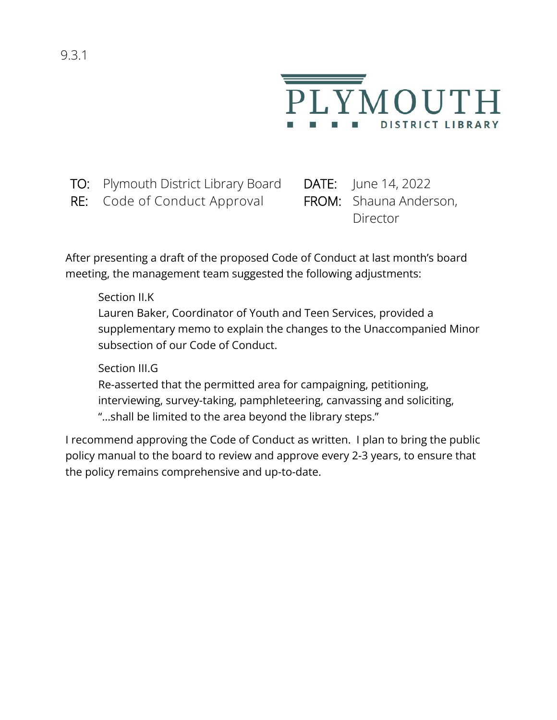

TO: Plymouth District Library Board DATE: June 14, 2022

RE: Code of Conduct Approval FROM: Shauna Anderson,

Director

After presenting a draft of the proposed Code of Conduct at last month's board meeting, the management team suggested the following adjustments:

Section II.K

Lauren Baker, Coordinator of Youth and Teen Services, provided a supplementary memo to explain the changes to the Unaccompanied Minor subsection of our Code of Conduct.

Section III.G

Re-asserted that the permitted area for campaigning, petitioning, interviewing, survey-taking, pamphleteering, canvassing and soliciting, "…shall be limited to the area beyond the library steps."

I recommend approving the Code of Conduct as written. I plan to bring the public policy manual to the board to review and approve every 2-3 years, to ensure that the policy remains comprehensive and up-to-date.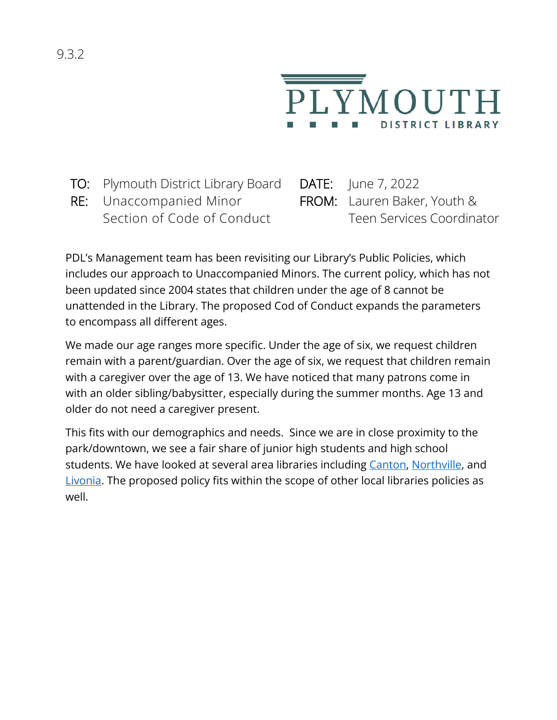

- TO: Plymouth District Library Board DATE: June 7, 2022
- RE: Unaccompanied Minor Section of Code of Conduct

FROM: Lauren Baker, Youth & Teen Services Coordinator

PDL's Management team has been revisiting our Library's Public Policies, which includes our approach to Unaccompanied Minors. The current policy, which has not been updated since 2004 states that children under the age of 8 cannot be unattended in the Library. The proposed Cod of Conduct expands the parameters to encompass all different ages.

We made our age ranges more specific. Under the age of six, we request children remain with a parent/guardian. Over the age of six, we request that children remain with a caregiver over the age of 13. We have noticed that many patrons come in with an older sibling/babysitter, especially during the summer months. Age 13 and older do not need a caregiver present.

This fits with our demographics and needs. Since we are in close proximity to the park/downtown, we see a fair share of junior high students and high school students. We have looked at several area libraries including [Canton,](https://www.cantonpl.org/wp-content/uploads/sites/106/2022/05/Patron_Code_of_Conduct.pdf) [Northville,](https://northvillelibrary.org/wp-content/uploads/2019/05/c.6-Safety-and-Well-being-of-Children.pdf) and [Livonia.](https://livonialibrary.info/policies/#UCL) The proposed policy fits within the scope of other local libraries policies as well.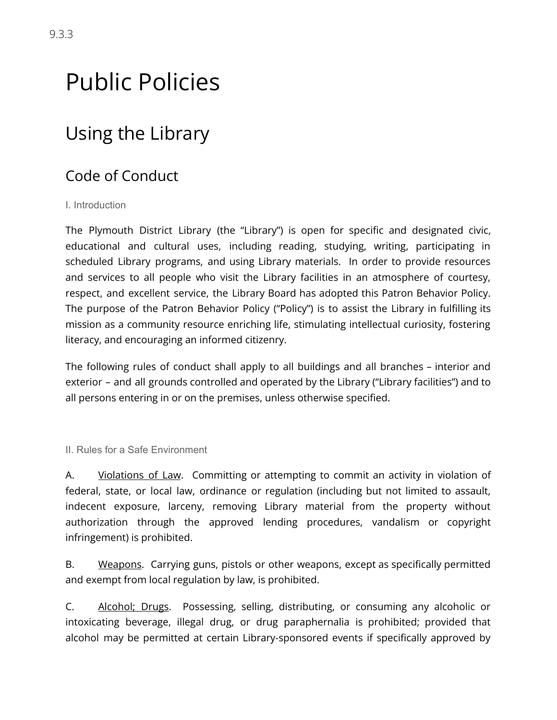# Public Policies

## Using the Library

## Code of Conduct

#### I. Introduction

 The Plymouth District Library (the "Library") is open for specific and designated civic, educational and cultural uses, including reading, studying, writing, participating in scheduled Library programs, and using Library materials. In order to provide resources and services to all people who visit the Library facilities in an atmosphere of courtesy, respect, and excellent service, the Library Board has adopted this Patron Behavior Policy. The purpose of the Patron Behavior Policy ("Policy") is to assist the Library in fulfilling its mission as a community resource enriching life, stimulating intellectual curiosity, fostering literacy, and encouraging an informed citizenry.

 The following rules of conduct shall apply to all buildings and all branches – interior and exterior – and all grounds controlled and operated by the Library ("Library facilities") and to all persons entering in or on the premises, unless otherwise specified.

II. Rules for a Safe Environment

A. Violations of Law. Committing or attempting to commit an activity in violation of federal, state, or local law, ordinance or regulation (including but not limited to assault, indecent exposure, larceny, removing Library material from the property without authorization through the approved lending procedures, vandalism or copyright infringement) is prohibited.

B. Weapons. Carrying guns, pistols or other weapons, except as specifically permitted and exempt from local regulation by law, is prohibited.

C. Alcohol; Drugs. Possessing, selling, distributing, or consuming any alcoholic or intoxicating beverage, illegal drug, or drug paraphernalia is prohibited; provided that alcohol may be permitted at certain Library-sponsored events if specifically approved by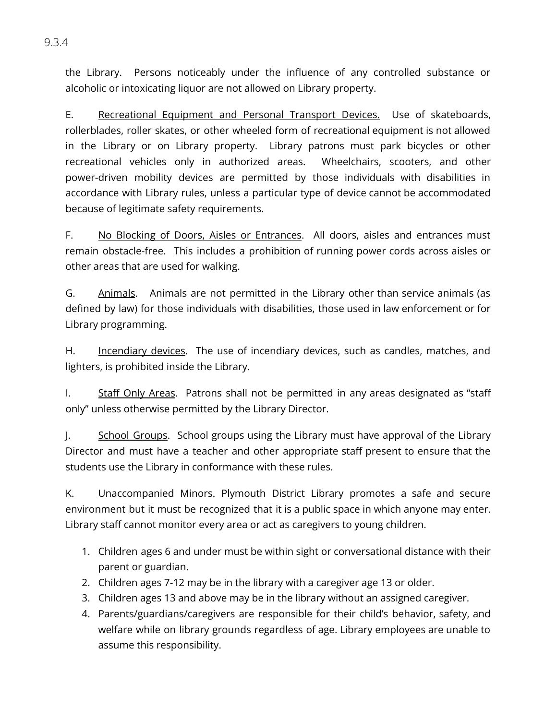the Library. Persons noticeably under the influence of any controlled substance or alcoholic or intoxicating liquor are not allowed on Library property.

E. Recreational Equipment and Personal Transport Devices. Use of skateboards, rollerblades, roller skates, or other wheeled form of recreational equipment is not allowed in the Library or on Library property. Library patrons must park bicycles or other recreational vehicles only in authorized areas. Wheelchairs, scooters, and other power-driven mobility devices are permitted by those individuals with disabilities in accordance with Library rules, unless a particular type of device cannot be accommodated because of legitimate safety requirements.

F. No Blocking of Doors, Aisles or Entrances. All doors, aisles and entrances must remain obstacle-free. This includes a prohibition of running power cords across aisles or other areas that are used for walking.

G. Animals. Animals are not permitted in the Library other than service animals (as defined by law) for those individuals with disabilities, those used in law enforcement or for Library programming.

H. Incendiary devices. The use of incendiary devices, such as candles, matches, and lighters, is prohibited inside the Library.

I. Staff Only Areas. Patrons shall not be permitted in any areas designated as "staff only" unless otherwise permitted by the Library Director.

1. School Groups. School groups using the Library must have approval of the Library Director and must have a teacher and other appropriate staff present to ensure that the students use the Library in conformance with these rules.

K. **Unaccompanied Minors.** Plymouth District Library promotes a safe and secure environment but it must be recognized that it is a public space in which anyone may enter. Library staff cannot monitor every area or act as caregivers to young children.

- 1. Children ages 6 and under must be within sight or conversational distance with their parent or guardian.
- 2. Children ages 7-12 may be in the library with a caregiver age 13 or older.
- 3. Children ages 13 and above may be in the library without an assigned caregiver.
- 4. Parents/guardians/caregivers are responsible for their child's behavior, safety, and welfare while on library grounds regardless of age. Library employees are unable to assume this responsibility.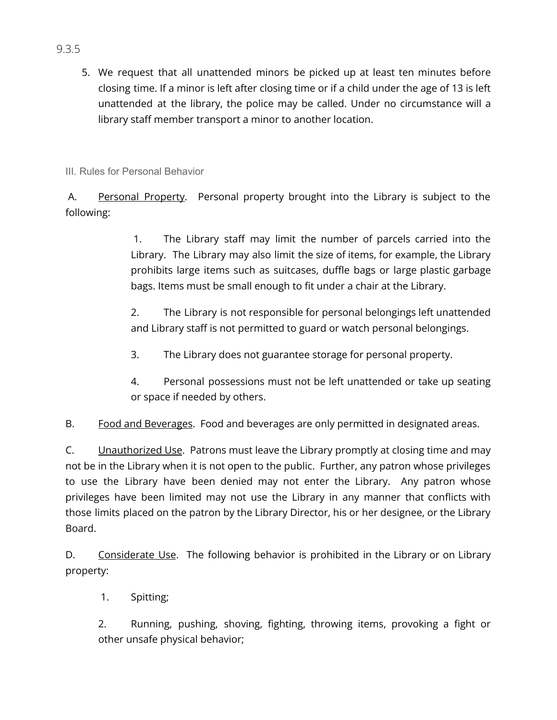5. We request that all unattended minors be picked up at least ten minutes before closing time. If a minor is left after closing time or if a child under the age of 13 is left unattended at the library, the police may be called. Under no circumstance will a library staff member transport a minor to another location.

III. Rules for Personal Behavior

A. Personal Property. Personal property brought into the Library is subject to the following:

> 1. The Library staff may limit the number of parcels carried into the Library. The Library may also limit the size of items, for example, the Library prohibits large items such as suitcases, duffle bags or large plastic garbage bags. Items must be small enough to fit under a chair at the Library.

> 2. The Library is not responsible for personal belongings left unattended and Library staff is not permitted to guard or watch personal belongings.

- 3. The Library does not guarantee storage for personal property.
- 4. Personal possessions must not be left unattended or take up seating or space if needed by others.

B. Food and Beverages. Food and beverages are only permitted in designated areas.

C. Unauthorized Use. Patrons must leave the Library promptly at closing time and may not be in the Library when it is not open to the public. Further, any patron whose privileges to use the Library have been denied may not enter the Library. Any patron whose privileges have been limited may not use the Library in any manner that conflicts with those limits placed on the patron by the Library Director, his or her designee, or the Library Board.

D. Considerate Use. The following behavior is prohibited in the Library or on Library property:

1. Spitting;

 2. Running, pushing, shoving, fighting, throwing items, provoking a fight or other unsafe physical behavior;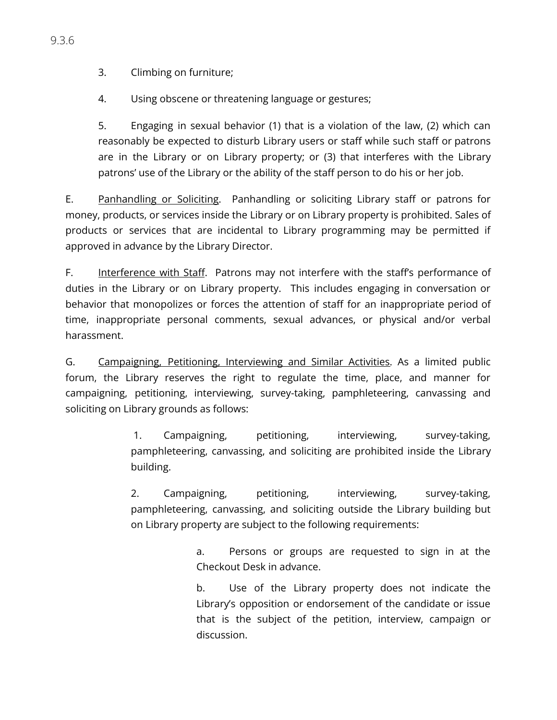3. Climbing on furniture;

4. Using obscene or threatening language or gestures;

 5. Engaging in sexual behavior (1) that is a violation of the law, (2) which can reasonably be expected to disturb Library users or staff while such staff or patrons are in the Library or on Library property; or (3) that interferes with the Library patrons' use of the Library or the ability of the staff person to do his or her job.

E. Panhandling or Soliciting. Panhandling or soliciting Library staff or patrons for money, products, or services inside the Library or on Library property is prohibited. Sales of products or services that are incidental to Library programming may be permitted if approved in advance by the Library Director.

F. Interference with Staff. Patrons may not interfere with the staff's performance of duties in the Library or on Library property. This includes engaging in conversation or behavior that monopolizes or forces the attention of staff for an inappropriate period of time, inappropriate personal comments, sexual advances, or physical and/or verbal harassment.

 G. Campaigning, Petitioning, Interviewing and Similar Activities . As a limited public forum, the Library reserves the right to regulate the time, place, and manner for campaigning, petitioning, interviewing, survey-taking, pamphleteering, canvassing and soliciting on Library grounds as follows:

> 1. Campaigning, petitioning, interviewing, survey-taking, pamphleteering, canvassing, and soliciting are prohibited inside the Library building.

> 2. Campaigning, petitioning, interviewing, survey-taking, pamphleteering, canvassing, and soliciting outside the Library building but on Library property are subject to the following requirements:

> > a. Persons or groups are requested to sign in at the Checkout Desk in advance.

> > b. Use of the Library property does not indicate the Library's opposition or endorsement of the candidate or issue that is the subject of the petition, interview, campaign or discussion.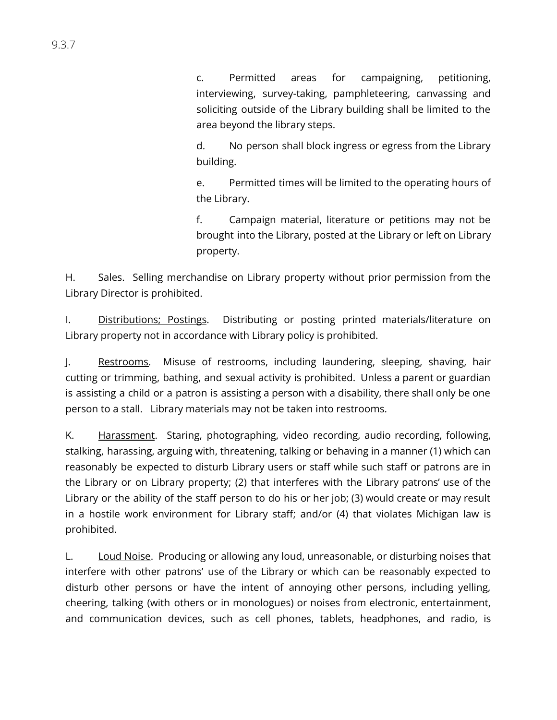c. Permitted areas for campaigning, petitioning, interviewing, survey-taking, pamphleteering, canvassing and soliciting outside of the Library building shall be limited to the area beyond the library steps.

 d. No person shall block ingress or egress from the Library building.

 e. Permitted times will be limited to the operating hours of the Library.

 f. Campaign material, literature or petitions may not be brought into the Library, posted at the Library or left on Library property.

H. Sales. Selling merchandise on Library property without prior permission from the Library Director is prohibited.

I. Distributions; Postings. Distributing or posting printed materials/literature on Library property not in accordance with Library policy is prohibited.

J. Restrooms. Misuse of restrooms, including laundering, sleeping, shaving, hair cutting or trimming, bathing, and sexual activity is prohibited. Unless a parent or guardian is assisting a child or a patron is assisting a person with a disability, there shall only be one person to a stall. Library materials may not be taken into restrooms.

K. Harassment. Staring, photographing, video recording, audio recording, following, stalking, harassing, arguing with, threatening, talking or behaving in a manner (1) which can reasonably be expected to disturb Library users or staff while such staff or patrons are in the Library or on Library property; (2) that interferes with the Library patrons' use of the Library or the ability of the staff person to do his or her job; (3) would create or may result in a hostile work environment for Library staff; and/or (4) that violates Michigan law is prohibited.

 L. Loud Noise . Producing or allowing any loud, unreasonable, or disturbing noises that interfere with other patrons' use of the Library or which can be reasonably expected to disturb other persons or have the intent of annoying other persons, including yelling, cheering, talking (with others or in monologues) or noises from electronic, entertainment, and communication devices, such as cell phones, tablets, headphones, and radio, is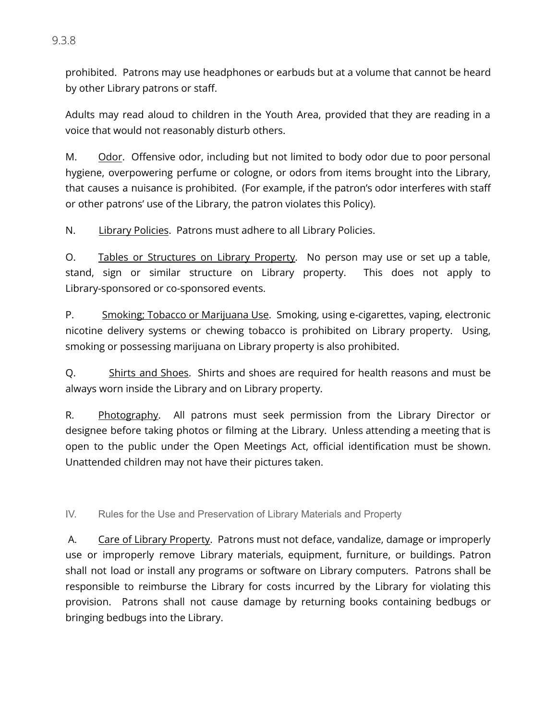prohibited. Patrons may use headphones or earbuds but at a volume that cannot be heard by other Library patrons or staff.

 Adults may read aloud to children in the Youth Area, provided that they are reading in a voice that would not reasonably disturb others.

M. Odor. Offensive odor, including but not limited to body odor due to poor personal hygiene, overpowering perfume or cologne, or odors from items brought into the Library, that causes a nuisance is prohibited. (For example, if the patron's odor interferes with staff or other patrons' use of the Library, the patron violates this Policy).

N. Library Policies. Patrons must adhere to all Library Policies.

O. Tables or Structures on Library Property. No person may use or set up a table, stand, sign or similar structure on Library property. This does not apply to Library-sponsored or co-sponsored events.

P. Smoking; Tobacco or Marijuana Use. Smoking, using e-cigarettes, vaping, electronic nicotine delivery systems or chewing tobacco is prohibited on Library property. Using, smoking or possessing marijuana on Library property is also prohibited.

Q. Shirts and Shoes. Shirts and shoes are required for health reasons and must be always worn inside the Library and on Library property.

R. Photography. All patrons must seek permission from the Library Director or designee before taking photos or filming at the Library. Unless attending a meeting that is open to the public under the Open Meetings Act, official identification must be shown. Unattended children may not have their pictures taken.

IV. Rules for the Use and Preservation of Library Materials and Property

A. Care of Library Property. Patrons must not deface, vandalize, damage or improperly use or improperly remove Library materials, equipment, furniture, or buildings. Patron shall not load or install any programs or software on Library computers. Patrons shall be responsible to reimburse the Library for costs incurred by the Library for violating this provision. Patrons shall not cause damage by returning books containing bedbugs or bringing bedbugs into the Library.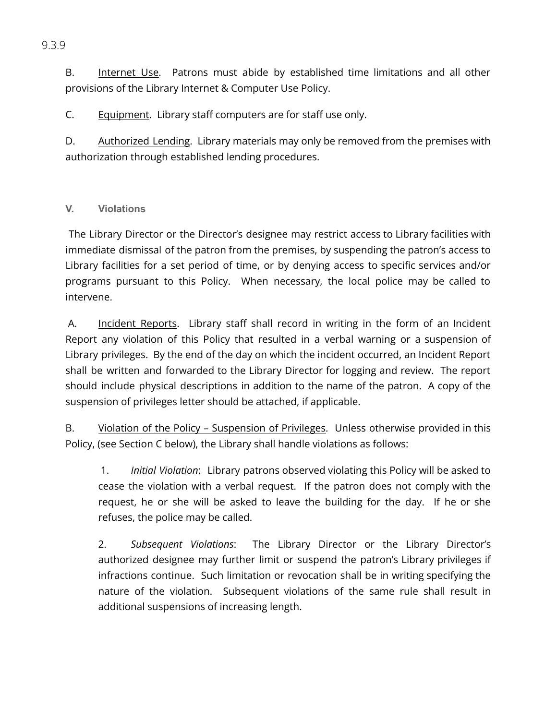B. Internet Use. Patrons must abide by established time limitations and all other provisions of the Library Internet & Computer Use Policy.

C. Equipment. Library staff computers are for staff use only.

D. Authorized Lending. Library materials may only be removed from the premises with authorization through established lending procedures.

### **V. Violations**

 The Library Director or the Director's designee may restrict access to Library facilities with immediate dismissal of the patron from the premises, by suspending the patron's access to Library facilities for a set period of time, or by denying access to specific services and/or programs pursuant to this Policy. When necessary, the local police may be called to intervene.

A. Incident Reports. Library staff shall record in writing in the form of an Incident Report any violation of this Policy that resulted in a verbal warning or a suspension of Library privileges. By the end of the day on which the incident occurred, an Incident Report shall be written and forwarded to the Library Director for logging and review. The report should include physical descriptions in addition to the name of the patron. A copy of the suspension of privileges letter should be attached, if applicable.

B. Violation of the Policy - Suspension of Privileges. Unless otherwise provided in this Policy, (see Section C below), the Library shall handle violations as follows:

 1. *Initial Violation* : Library patrons observed violating this Policy will be asked to cease the violation with a verbal request. If the patron does not comply with the request, he or she will be asked to leave the building for the day. If he or she refuses, the police may be called.

2. Subsequent Violations: The Library Director or the Library Director's authorized designee may further limit or suspend the patron's Library privileges if infractions continue. Such limitation or revocation shall be in writing specifying the nature of the violation. Subsequent violations of the same rule shall result in additional suspensions of increasing length.